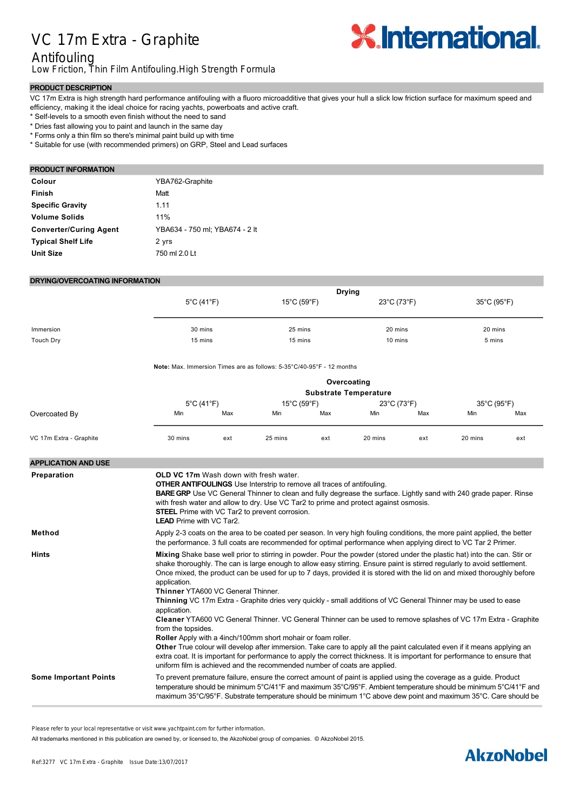# VC 17m Extra - Graphite



## Antifouling

Low Friction, Thin Film Antifouling.High Strength Formula

### **PRODUCT DESCRIPTION**

VC 17m Extra is high strength hard performance antifouling with a fluoro microadditive that gives your hull a slick low friction surface for maximum speed and efficiency, making it the ideal choice for racing yachts, powerboats and active craft.

\* Self-levels to a smooth even finish without the need to sand

\* Dries fast allowing you to paint and launch in the same day

\* Forms only a thin film so there's minimal paint build up with time

\* Suitable for use (with recommended primers) on GRP, Steel and Lead surfaces

#### **PRODUCT INFORMATION**

| Colour                        | YBA762-Graphite                |
|-------------------------------|--------------------------------|
| <b>Finish</b>                 | Matt                           |
| <b>Specific Gravity</b>       | 1 1 1                          |
| <b>Volume Solids</b>          | 11%                            |
| <b>Converter/Curing Agent</b> | YBA634 - 750 ml: YBA674 - 2 lt |
| <b>Typical Shelf Life</b>     | 2 yrs                          |
| <b>Unit Size</b>              | 750 ml 2.0 Lt                  |

#### **DRYING/OVERCOATING INFORMATION**

|                              | <b>Drying</b>                                                                                                                                                                                                                                                                                                                                                                                                                                                                                                                                                                                                                                                                                                                                                                                                                                                                                                                                                                                                                                      |     |                                                                                                                                                                                                                                                                                                                                                            |     |                                  |     |                                  |     |  |
|------------------------------|----------------------------------------------------------------------------------------------------------------------------------------------------------------------------------------------------------------------------------------------------------------------------------------------------------------------------------------------------------------------------------------------------------------------------------------------------------------------------------------------------------------------------------------------------------------------------------------------------------------------------------------------------------------------------------------------------------------------------------------------------------------------------------------------------------------------------------------------------------------------------------------------------------------------------------------------------------------------------------------------------------------------------------------------------|-----|------------------------------------------------------------------------------------------------------------------------------------------------------------------------------------------------------------------------------------------------------------------------------------------------------------------------------------------------------------|-----|----------------------------------|-----|----------------------------------|-----|--|
|                              | $5^{\circ}$ C (41 $^{\circ}$ F)                                                                                                                                                                                                                                                                                                                                                                                                                                                                                                                                                                                                                                                                                                                                                                                                                                                                                                                                                                                                                    |     | 15°C (59°F)                                                                                                                                                                                                                                                                                                                                                |     | $23^{\circ}$ C (73 $^{\circ}$ F) |     | $35^{\circ}$ C (95 $^{\circ}$ F) |     |  |
| Immersion                    | 30 mins                                                                                                                                                                                                                                                                                                                                                                                                                                                                                                                                                                                                                                                                                                                                                                                                                                                                                                                                                                                                                                            |     | 25 mins                                                                                                                                                                                                                                                                                                                                                    |     | 20 mins                          |     | 20 mins                          |     |  |
| <b>Touch Dry</b>             | 15 mins                                                                                                                                                                                                                                                                                                                                                                                                                                                                                                                                                                                                                                                                                                                                                                                                                                                                                                                                                                                                                                            |     | 15 mins                                                                                                                                                                                                                                                                                                                                                    |     | 10 mins                          |     | 5 mins                           |     |  |
|                              | <b>Note:</b> Max. Immersion Times are as follows: $5\text{-}35\degree\text{C}/40\text{-}95\degree\text{F}$ - 12 months                                                                                                                                                                                                                                                                                                                                                                                                                                                                                                                                                                                                                                                                                                                                                                                                                                                                                                                             |     |                                                                                                                                                                                                                                                                                                                                                            |     |                                  |     |                                  |     |  |
|                              | Overcoating<br><b>Substrate Temperature</b>                                                                                                                                                                                                                                                                                                                                                                                                                                                                                                                                                                                                                                                                                                                                                                                                                                                                                                                                                                                                        |     |                                                                                                                                                                                                                                                                                                                                                            |     |                                  |     |                                  |     |  |
|                              | 5°C (41°F)                                                                                                                                                                                                                                                                                                                                                                                                                                                                                                                                                                                                                                                                                                                                                                                                                                                                                                                                                                                                                                         |     | 15°C (59°F)                                                                                                                                                                                                                                                                                                                                                |     | 23°C (73°F)                      |     | 35°C (95°F)                      |     |  |
| Overcoated By                | Min                                                                                                                                                                                                                                                                                                                                                                                                                                                                                                                                                                                                                                                                                                                                                                                                                                                                                                                                                                                                                                                | Max | Min                                                                                                                                                                                                                                                                                                                                                        | Max | Min                              | Max | Min                              | Max |  |
| VC 17m Extra - Graphite      | 30 mins                                                                                                                                                                                                                                                                                                                                                                                                                                                                                                                                                                                                                                                                                                                                                                                                                                                                                                                                                                                                                                            | ext | 25 mins                                                                                                                                                                                                                                                                                                                                                    | ext | 20 mins                          | ext | 20 mins                          | ext |  |
| <b>APPLICATION AND USE</b>   |                                                                                                                                                                                                                                                                                                                                                                                                                                                                                                                                                                                                                                                                                                                                                                                                                                                                                                                                                                                                                                                    |     |                                                                                                                                                                                                                                                                                                                                                            |     |                                  |     |                                  |     |  |
|                              | <b>LEAD</b> Prime with VC Tar2.                                                                                                                                                                                                                                                                                                                                                                                                                                                                                                                                                                                                                                                                                                                                                                                                                                                                                                                                                                                                                    |     | <b>OTHER ANTIFOULINGS</b> Use Interstrip to remove all traces of antifouling.<br><b>BARE GRP</b> Use VC General Thinner to clean and fully degrease the surface. Lightly sand with 240 grade paper. Rinse<br>with fresh water and allow to dry. Use VC Tar2 to prime and protect against osmosis.<br><b>STEEL</b> Prime with VC Tar2 to prevent corrosion. |     |                                  |     |                                  |     |  |
| Method                       | Apply 2-3 coats on the area to be coated per season. In very high fouling conditions, the more paint applied, the better<br>the performance. 3 full coats are recommended for optimal performance when applying direct to VC Tar 2 Primer.                                                                                                                                                                                                                                                                                                                                                                                                                                                                                                                                                                                                                                                                                                                                                                                                         |     |                                                                                                                                                                                                                                                                                                                                                            |     |                                  |     |                                  |     |  |
| Hints                        | Mixing Shake base well prior to stirring in powder. Pour the powder (stored under the plastic hat) into the can. Stir or<br>shake thoroughly. The can is large enough to allow easy stirring. Ensure paint is stirred regularly to avoid settlement.<br>Once mixed, the product can be used for up to 7 days, provided it is stored with the lid on and mixed thoroughly before<br>application.<br><b>Thinner YTA600 VC General Thinner.</b><br>Thinning VC 17m Extra - Graphite dries very quickly - small additions of VC General Thinner may be used to ease<br>application.<br>Cleaner YTA600 VC General Thinner. VC General Thinner can be used to remove splashes of VC 17m Extra - Graphite<br>from the topsides.<br>Roller Apply with a 4inch/100mm short mohair or foam roller.<br>Other True colour will develop after immersion. Take care to apply all the paint calculated even if it means applying an<br>extra coat. It is important for performance to apply the correct thickness. It is important for performance to ensure that |     |                                                                                                                                                                                                                                                                                                                                                            |     |                                  |     |                                  |     |  |
| <b>Some Important Points</b> | uniform film is achieved and the recommended number of coats are applied.<br>To prevent premature failure, ensure the correct amount of paint is applied using the coverage as a guide. Product<br>temperature should be minimum 5°C/41°F and maximum 35°C/95°F. Ambient temperature should be minimum 5°C/41°F and<br>maximum 35°C/95°F. Substrate temperature should be minimum 1°C above dew point and maximum 35°C. Care should be                                                                                                                                                                                                                                                                                                                                                                                                                                                                                                                                                                                                             |     |                                                                                                                                                                                                                                                                                                                                                            |     |                                  |     |                                  |     |  |

Please refer to your local representative or visit www.yachtpaint.com for further information.

**Warning Company VC 17m Extra Graphite in well ventilated areas or outdoor or outdoor or outdoors. Compatibility/Substrates** Suitable for use (with recommended primers) on GRP, Steel, Wood and Lead surfaces. Not suitable for use over All trademarks mentioned in this publication are owned by, or licensed to, the AkzoNobel group of companies. © AkzoNobel 2015.